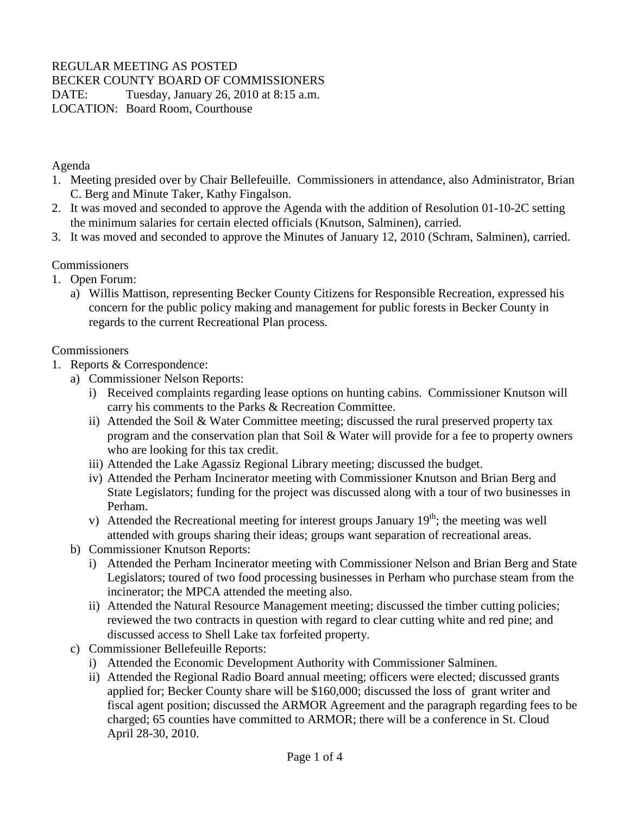## REGULAR MEETING AS POSTED

BECKER COUNTY BOARD OF COMMISSIONERS

DATE: Tuesday, January 26, 2010 at 8:15 a.m. LOCATION: Board Room, Courthouse

Agenda

- 1. Meeting presided over by Chair Bellefeuille. Commissioners in attendance, also Administrator, Brian C. Berg and Minute Taker, Kathy Fingalson.
- 2. It was moved and seconded to approve the Agenda with the addition of Resolution 01-10-2C setting the minimum salaries for certain elected officials (Knutson, Salminen), carried.
- 3. It was moved and seconded to approve the Minutes of January 12, 2010 (Schram, Salminen), carried.

## **Commissioners**

- 1. Open Forum:
	- a) Willis Mattison, representing Becker County Citizens for Responsible Recreation, expressed his concern for the public policy making and management for public forests in Becker County in regards to the current Recreational Plan process.

## **Commissioners**

- 1. Reports & Correspondence:
	- a) Commissioner Nelson Reports:
		- i) Received complaints regarding lease options on hunting cabins. Commissioner Knutson will carry his comments to the Parks & Recreation Committee.
		- ii) Attended the Soil & Water Committee meeting; discussed the rural preserved property tax program and the conservation plan that Soil & Water will provide for a fee to property owners who are looking for this tax credit.
		- iii) Attended the Lake Agassiz Regional Library meeting; discussed the budget.
		- iv) Attended the Perham Incinerator meeting with Commissioner Knutson and Brian Berg and State Legislators; funding for the project was discussed along with a tour of two businesses in Perham.
		- v) Attended the Recreational meeting for interest groups January  $19<sup>th</sup>$ ; the meeting was well attended with groups sharing their ideas; groups want separation of recreational areas.
	- b) Commissioner Knutson Reports:
		- i) Attended the Perham Incinerator meeting with Commissioner Nelson and Brian Berg and State Legislators; toured of two food processing businesses in Perham who purchase steam from the incinerator; the MPCA attended the meeting also.
		- ii) Attended the Natural Resource Management meeting; discussed the timber cutting policies; reviewed the two contracts in question with regard to clear cutting white and red pine; and discussed access to Shell Lake tax forfeited property.
	- c) Commissioner Bellefeuille Reports:
		- i) Attended the Economic Development Authority with Commissioner Salminen.
		- ii) Attended the Regional Radio Board annual meeting; officers were elected; discussed grants applied for; Becker County share will be \$160,000; discussed the loss of grant writer and fiscal agent position; discussed the ARMOR Agreement and the paragraph regarding fees to be charged; 65 counties have committed to ARMOR; there will be a conference in St. Cloud April 28-30, 2010.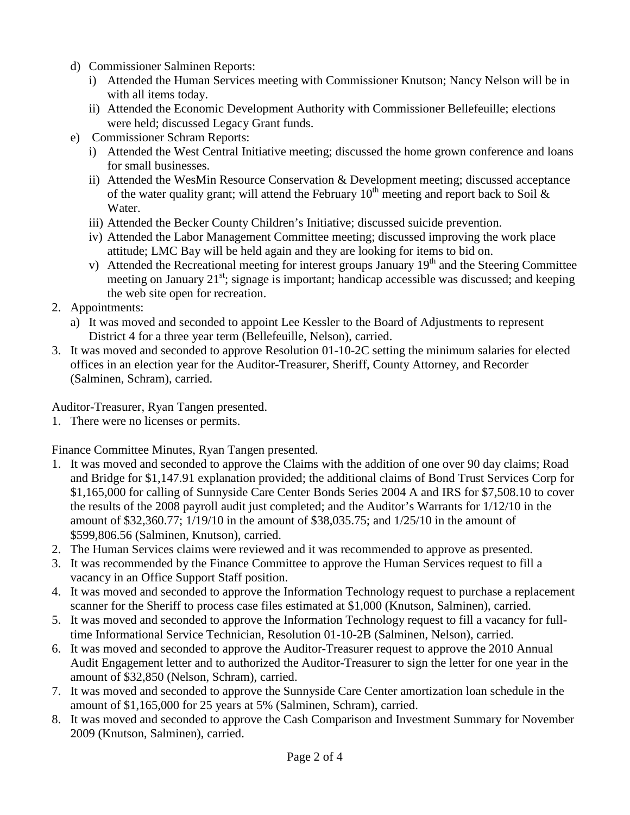- d) Commissioner Salminen Reports:
	- i) Attended the Human Services meeting with Commissioner Knutson; Nancy Nelson will be in with all items today.
	- ii) Attended the Economic Development Authority with Commissioner Bellefeuille; elections were held; discussed Legacy Grant funds.
- e) Commissioner Schram Reports:
	- i) Attended the West Central Initiative meeting; discussed the home grown conference and loans for small businesses.
	- ii) Attended the WesMin Resource Conservation & Development meeting; discussed acceptance of the water quality grant; will attend the February  $10^{th}$  meeting and report back to Soil & Water.
	- iii) Attended the Becker County Children's Initiative; discussed suicide prevention.
	- iv) Attended the Labor Management Committee meeting; discussed improving the work place attitude; LMC Bay will be held again and they are looking for items to bid on.
	- v) Attended the Recreational meeting for interest groups January  $19<sup>th</sup>$  and the Steering Committee meeting on January  $21^{st}$ ; signage is important; handicap accessible was discussed; and keeping the web site open for recreation.
- 2. Appointments:
	- a) It was moved and seconded to appoint Lee Kessler to the Board of Adjustments to represent District 4 for a three year term (Bellefeuille, Nelson), carried.
- 3. It was moved and seconded to approve Resolution 01-10-2C setting the minimum salaries for elected offices in an election year for the Auditor-Treasurer, Sheriff, County Attorney, and Recorder (Salminen, Schram), carried.

Auditor-Treasurer, Ryan Tangen presented.

1. There were no licenses or permits.

Finance Committee Minutes, Ryan Tangen presented.

- 1. It was moved and seconded to approve the Claims with the addition of one over 90 day claims; Road and Bridge for \$1,147.91 explanation provided; the additional claims of Bond Trust Services Corp for \$1,165,000 for calling of Sunnyside Care Center Bonds Series 2004 A and IRS for \$7,508.10 to cover the results of the 2008 payroll audit just completed; and the Auditor's Warrants for 1/12/10 in the amount of \$32,360.77; 1/19/10 in the amount of \$38,035.75; and 1/25/10 in the amount of \$599,806.56 (Salminen, Knutson), carried.
- 2. The Human Services claims were reviewed and it was recommended to approve as presented.
- 3. It was recommended by the Finance Committee to approve the Human Services request to fill a vacancy in an Office Support Staff position.
- 4. It was moved and seconded to approve the Information Technology request to purchase a replacement scanner for the Sheriff to process case files estimated at \$1,000 (Knutson, Salminen), carried.
- 5. It was moved and seconded to approve the Information Technology request to fill a vacancy for fulltime Informational Service Technician, Resolution 01-10-2B (Salminen, Nelson), carried.
- 6. It was moved and seconded to approve the Auditor-Treasurer request to approve the 2010 Annual Audit Engagement letter and to authorized the Auditor-Treasurer to sign the letter for one year in the amount of \$32,850 (Nelson, Schram), carried.
- 7. It was moved and seconded to approve the Sunnyside Care Center amortization loan schedule in the amount of \$1,165,000 for 25 years at 5% (Salminen, Schram), carried.
- 8. It was moved and seconded to approve the Cash Comparison and Investment Summary for November 2009 (Knutson, Salminen), carried.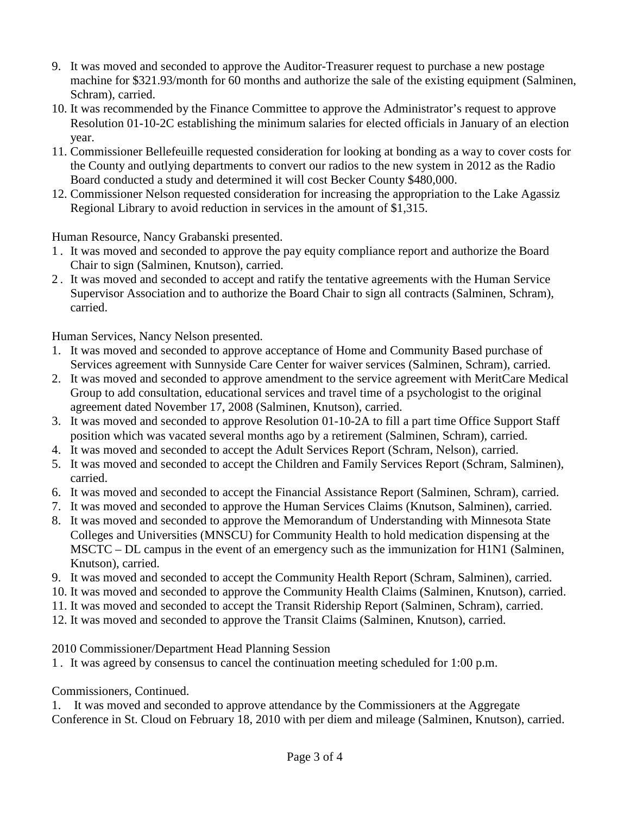- 9. It was moved and seconded to approve the Auditor-Treasurer request to purchase a new postage machine for \$321.93/month for 60 months and authorize the sale of the existing equipment (Salminen, Schram), carried.
- 10. It was recommended by the Finance Committee to approve the Administrator's request to approve Resolution 01-10-2C establishing the minimum salaries for elected officials in January of an election year.
- 11. Commissioner Bellefeuille requested consideration for looking at bonding as a way to cover costs for the County and outlying departments to convert our radios to the new system in 2012 as the Radio Board conducted a study and determined it will cost Becker County \$480,000.
- 12. Commissioner Nelson requested consideration for increasing the appropriation to the Lake Agassiz Regional Library to avoid reduction in services in the amount of \$1,315.

Human Resource, Nancy Grabanski presented.

- 1 . It was moved and seconded to approve the pay equity compliance report and authorize the Board Chair to sign (Salminen, Knutson), carried.
- 2 . It was moved and seconded to accept and ratify the tentative agreements with the Human Service Supervisor Association and to authorize the Board Chair to sign all contracts (Salminen, Schram), carried.

Human Services, Nancy Nelson presented.

- 1. It was moved and seconded to approve acceptance of Home and Community Based purchase of Services agreement with Sunnyside Care Center for waiver services (Salminen, Schram), carried.
- 2. It was moved and seconded to approve amendment to the service agreement with MeritCare Medical Group to add consultation, educational services and travel time of a psychologist to the original agreement dated November 17, 2008 (Salminen, Knutson), carried.
- 3. It was moved and seconded to approve Resolution 01-10-2A to fill a part time Office Support Staff position which was vacated several months ago by a retirement (Salminen, Schram), carried.
- 4. It was moved and seconded to accept the Adult Services Report (Schram, Nelson), carried.
- 5. It was moved and seconded to accept the Children and Family Services Report (Schram, Salminen), carried.
- 6. It was moved and seconded to accept the Financial Assistance Report (Salminen, Schram), carried.
- 7. It was moved and seconded to approve the Human Services Claims (Knutson, Salminen), carried.
- 8. It was moved and seconded to approve the Memorandum of Understanding with Minnesota State Colleges and Universities (MNSCU) for Community Health to hold medication dispensing at the MSCTC – DL campus in the event of an emergency such as the immunization for H1N1 (Salminen, Knutson), carried.
- 9. It was moved and seconded to accept the Community Health Report (Schram, Salminen), carried.
- 10. It was moved and seconded to approve the Community Health Claims (Salminen, Knutson), carried.
- 11. It was moved and seconded to accept the Transit Ridership Report (Salminen, Schram), carried.
- 12. It was moved and seconded to approve the Transit Claims (Salminen, Knutson), carried.

2010 Commissioner/Department Head Planning Session

1 . It was agreed by consensus to cancel the continuation meeting scheduled for 1:00 p.m.

Commissioners, Continued.

1. It was moved and seconded to approve attendance by the Commissioners at the Aggregate Conference in St. Cloud on February 18, 2010 with per diem and mileage (Salminen, Knutson), carried.